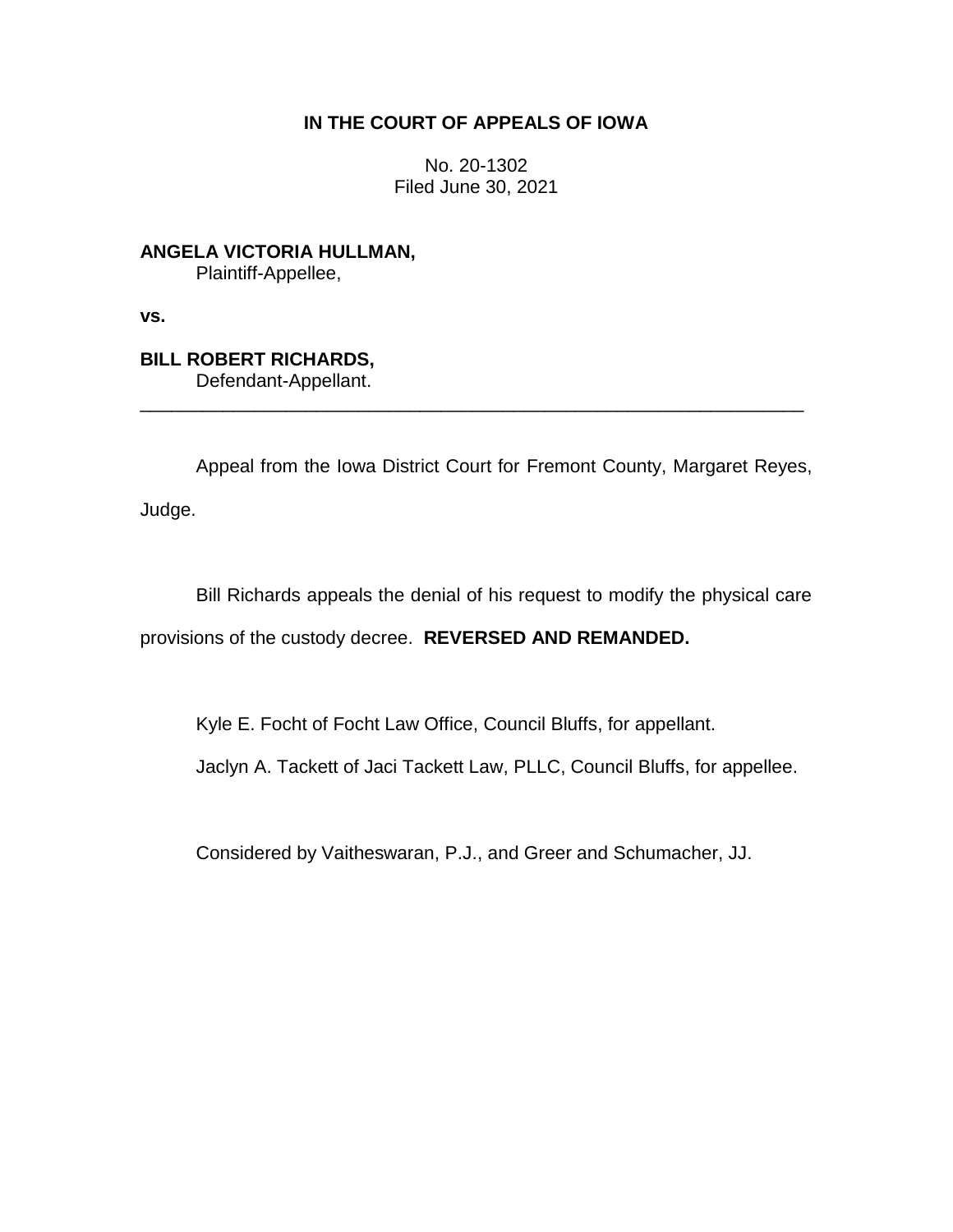## **IN THE COURT OF APPEALS OF IOWA**

No. 20-1302 Filed June 30, 2021

**ANGELA VICTORIA HULLMAN,** Plaintiff-Appellee,

**vs.**

## **BILL ROBERT RICHARDS,**

Defendant-Appellant.

Appeal from the Iowa District Court for Fremont County, Margaret Reyes,

\_\_\_\_\_\_\_\_\_\_\_\_\_\_\_\_\_\_\_\_\_\_\_\_\_\_\_\_\_\_\_\_\_\_\_\_\_\_\_\_\_\_\_\_\_\_\_\_\_\_\_\_\_\_\_\_\_\_\_\_\_\_\_\_

Judge.

Bill Richards appeals the denial of his request to modify the physical care provisions of the custody decree. **REVERSED AND REMANDED.**

Kyle E. Focht of Focht Law Office, Council Bluffs, for appellant.

Jaclyn A. Tackett of Jaci Tackett Law, PLLC, Council Bluffs, for appellee.

Considered by Vaitheswaran, P.J., and Greer and Schumacher, JJ.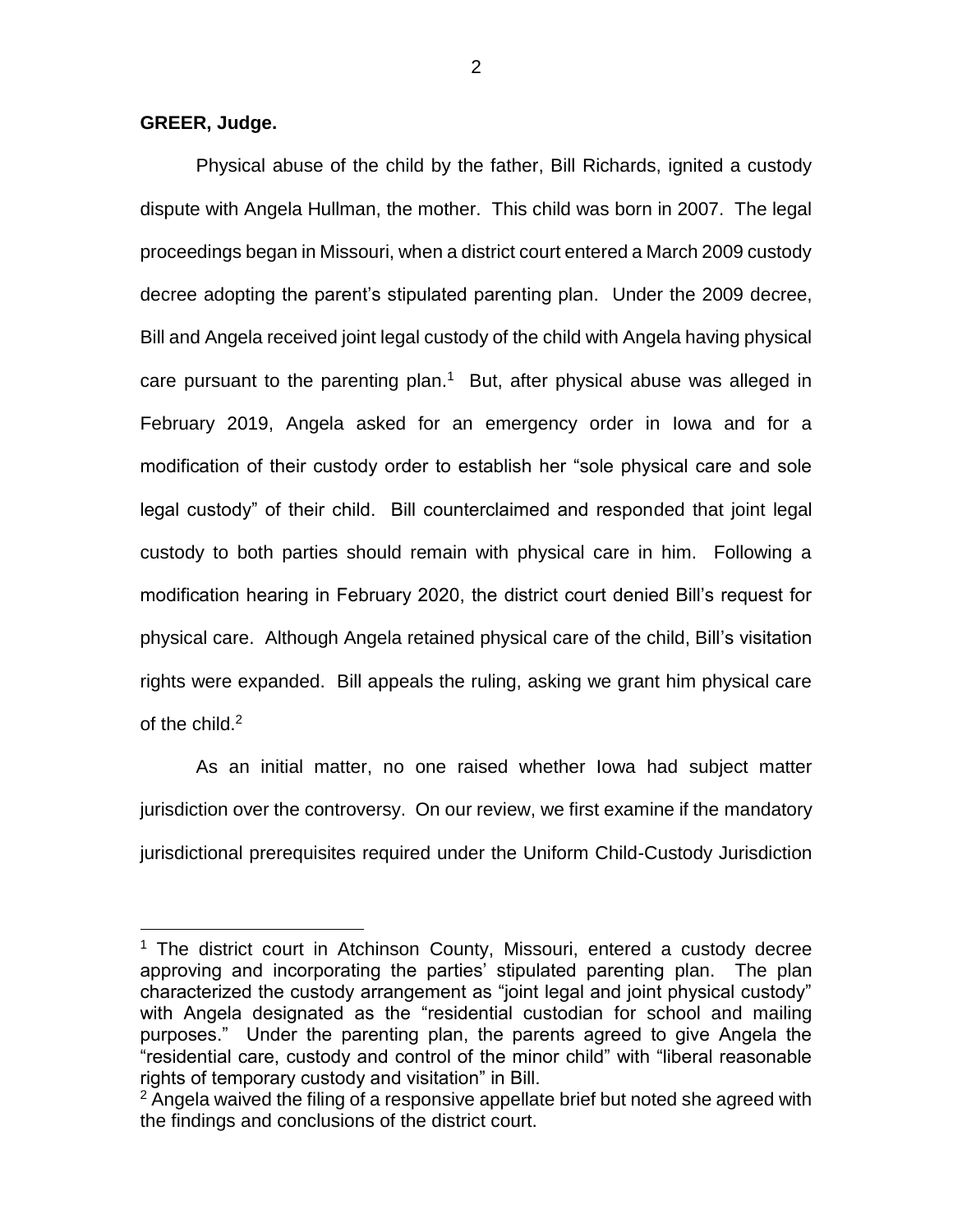## **GREER, Judge.**

 $\overline{a}$ 

Physical abuse of the child by the father, Bill Richards, ignited a custody dispute with Angela Hullman, the mother. This child was born in 2007. The legal proceedings began in Missouri, when a district court entered a March 2009 custody decree adopting the parent's stipulated parenting plan. Under the 2009 decree, Bill and Angela received joint legal custody of the child with Angela having physical care pursuant to the parenting plan.<sup>1</sup> But, after physical abuse was alleged in February 2019, Angela asked for an emergency order in Iowa and for a modification of their custody order to establish her "sole physical care and sole legal custody" of their child. Bill counterclaimed and responded that joint legal custody to both parties should remain with physical care in him. Following a modification hearing in February 2020, the district court denied Bill's request for physical care. Although Angela retained physical care of the child, Bill's visitation rights were expanded. Bill appeals the ruling, asking we grant him physical care of the child.<sup>2</sup>

As an initial matter, no one raised whether Iowa had subject matter jurisdiction over the controversy. On our review, we first examine if the mandatory jurisdictional prerequisites required under the Uniform Child-Custody Jurisdiction

<sup>&</sup>lt;sup>1</sup> The district court in Atchinson County, Missouri, entered a custody decree approving and incorporating the parties' stipulated parenting plan. The plan characterized the custody arrangement as "joint legal and joint physical custody" with Angela designated as the "residential custodian for school and mailing purposes." Under the parenting plan, the parents agreed to give Angela the "residential care, custody and control of the minor child" with "liberal reasonable rights of temporary custody and visitation" in Bill.

 $2$  Angela waived the filing of a responsive appellate brief but noted she agreed with the findings and conclusions of the district court.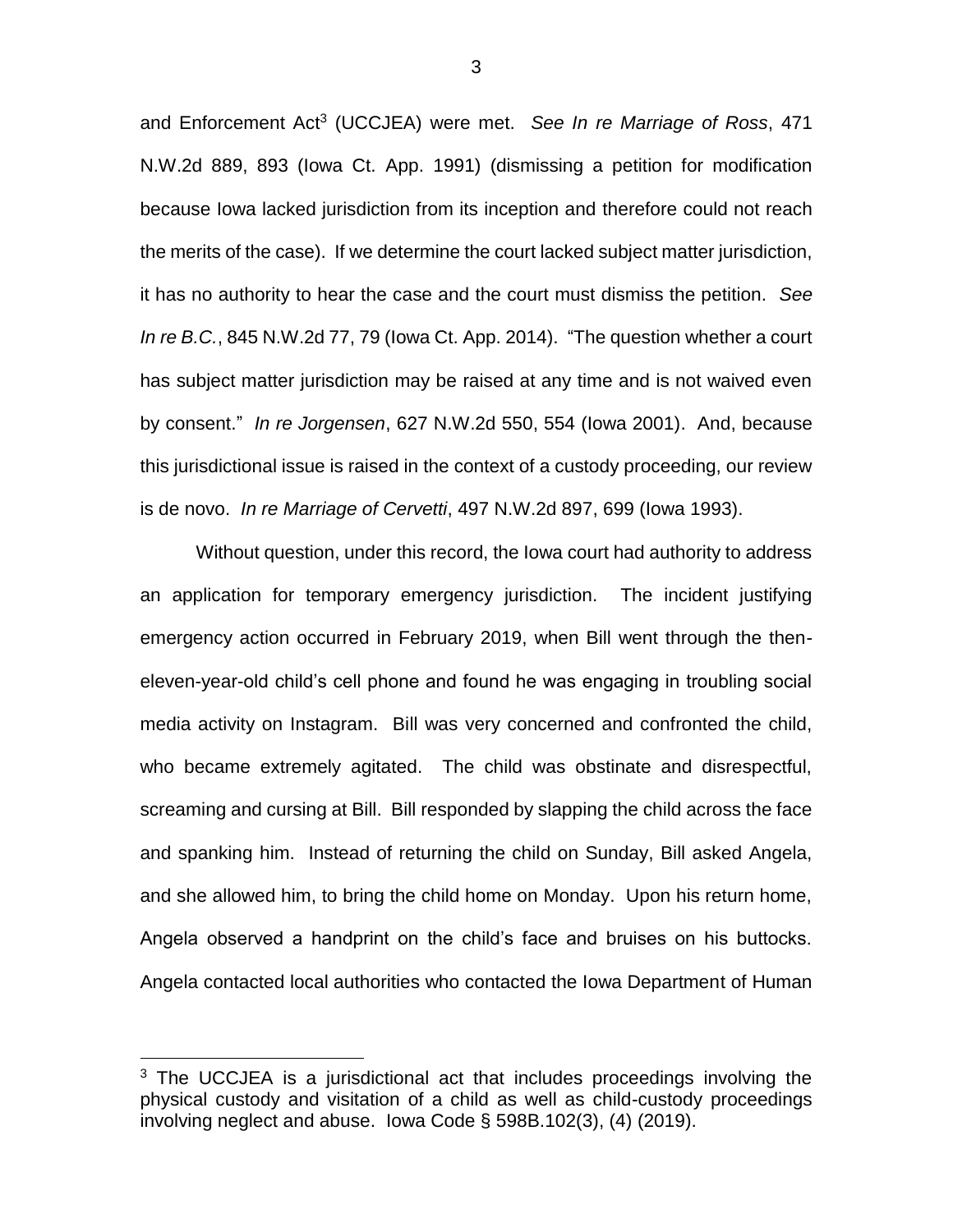and Enforcement Act<sup>3</sup> (UCCJEA) were met. *See In re Marriage of Ross*, 471 N.W.2d 889, 893 (Iowa Ct. App. 1991) (dismissing a petition for modification because Iowa lacked jurisdiction from its inception and therefore could not reach the merits of the case). If we determine the court lacked subject matter jurisdiction, it has no authority to hear the case and the court must dismiss the petition. *See In re B.C.*, 845 N.W.2d 77, 79 (Iowa Ct. App. 2014). "The question whether a court has subject matter jurisdiction may be raised at any time and is not waived even by consent." *In re Jorgensen*, 627 N.W.2d 550, 554 (Iowa 2001). And, because this jurisdictional issue is raised in the context of a custody proceeding, our review is de novo. *In re Marriage of Cervetti*, 497 N.W.2d 897, 699 (Iowa 1993).

Without question, under this record, the Iowa court had authority to address an application for temporary emergency jurisdiction. The incident justifying emergency action occurred in February 2019, when Bill went through the theneleven-year-old child's cell phone and found he was engaging in troubling social media activity on Instagram. Bill was very concerned and confronted the child, who became extremely agitated. The child was obstinate and disrespectful, screaming and cursing at Bill. Bill responded by slapping the child across the face and spanking him. Instead of returning the child on Sunday, Bill asked Angela, and she allowed him, to bring the child home on Monday. Upon his return home, Angela observed a handprint on the child's face and bruises on his buttocks. Angela contacted local authorities who contacted the Iowa Department of Human

 $\overline{a}$ 

3

<sup>&</sup>lt;sup>3</sup> The UCCJEA is a jurisdictional act that includes proceedings involving the physical custody and visitation of a child as well as child-custody proceedings involving neglect and abuse. Iowa Code § 598B.102(3), (4) (2019).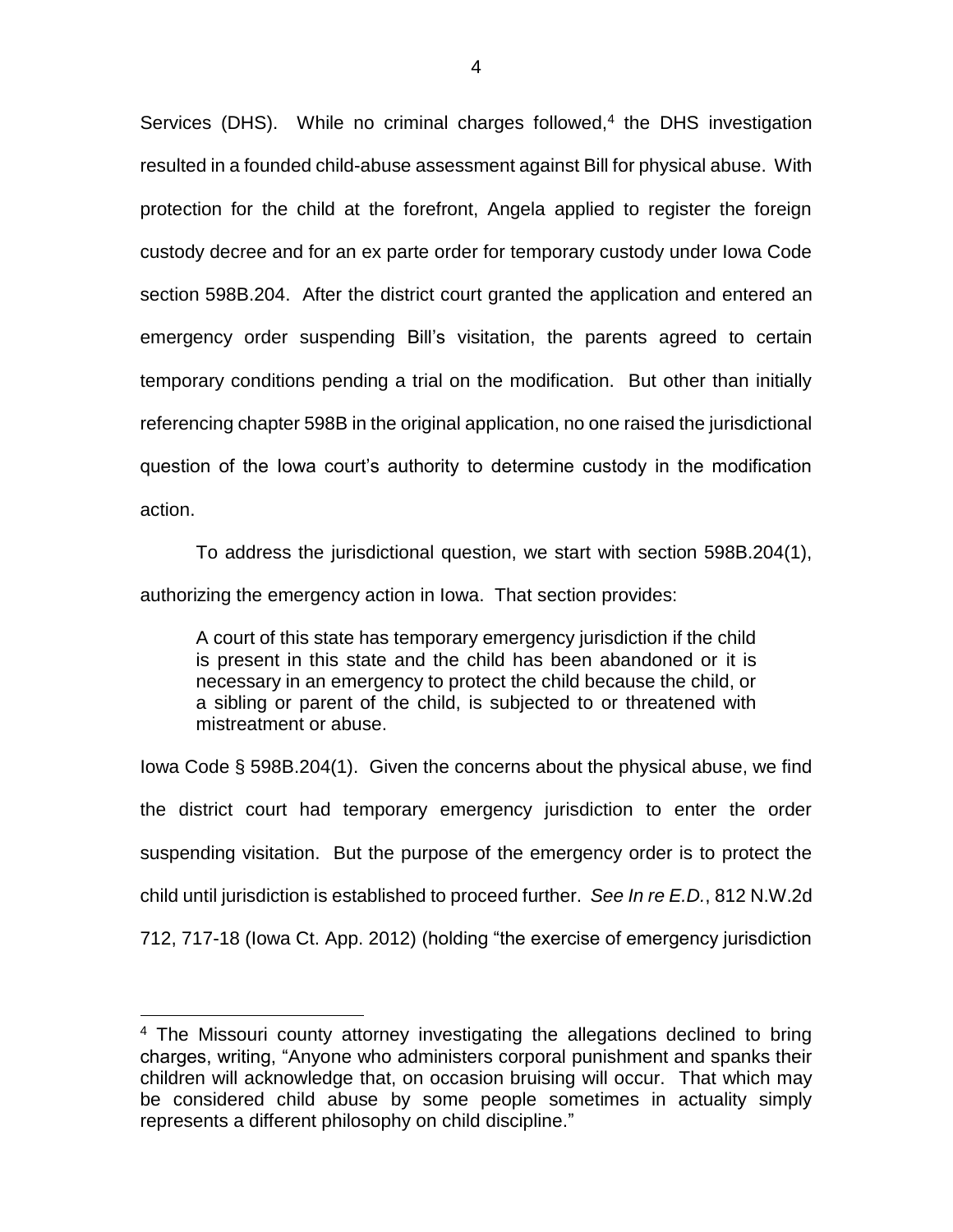Services (DHS). While no criminal charges followed, $4$  the DHS investigation resulted in a founded child-abuse assessment against Bill for physical abuse. With protection for the child at the forefront, Angela applied to register the foreign custody decree and for an ex parte order for temporary custody under Iowa Code section 598B.204. After the district court granted the application and entered an emergency order suspending Bill's visitation, the parents agreed to certain temporary conditions pending a trial on the modification. But other than initially referencing chapter 598B in the original application, no one raised the jurisdictional question of the Iowa court's authority to determine custody in the modification action.

To address the jurisdictional question, we start with section 598B.204(1), authorizing the emergency action in Iowa. That section provides:

A court of this state has temporary emergency jurisdiction if the child is present in this state and the child has been abandoned or it is necessary in an emergency to protect the child because the child, or a sibling or parent of the child, is subjected to or threatened with mistreatment or abuse.

Iowa Code § 598B.204(1). Given the concerns about the physical abuse, we find the district court had temporary emergency jurisdiction to enter the order suspending visitation. But the purpose of the emergency order is to protect the child until jurisdiction is established to proceed further. *See In re E.D.*, 812 N.W.2d 712, 717-18 (Iowa Ct. App. 2012) (holding "the exercise of emergency jurisdiction

 $\overline{a}$ 

<sup>&</sup>lt;sup>4</sup> The Missouri county attorney investigating the allegations declined to bring charges, writing, "Anyone who administers corporal punishment and spanks their children will acknowledge that, on occasion bruising will occur. That which may be considered child abuse by some people sometimes in actuality simply represents a different philosophy on child discipline."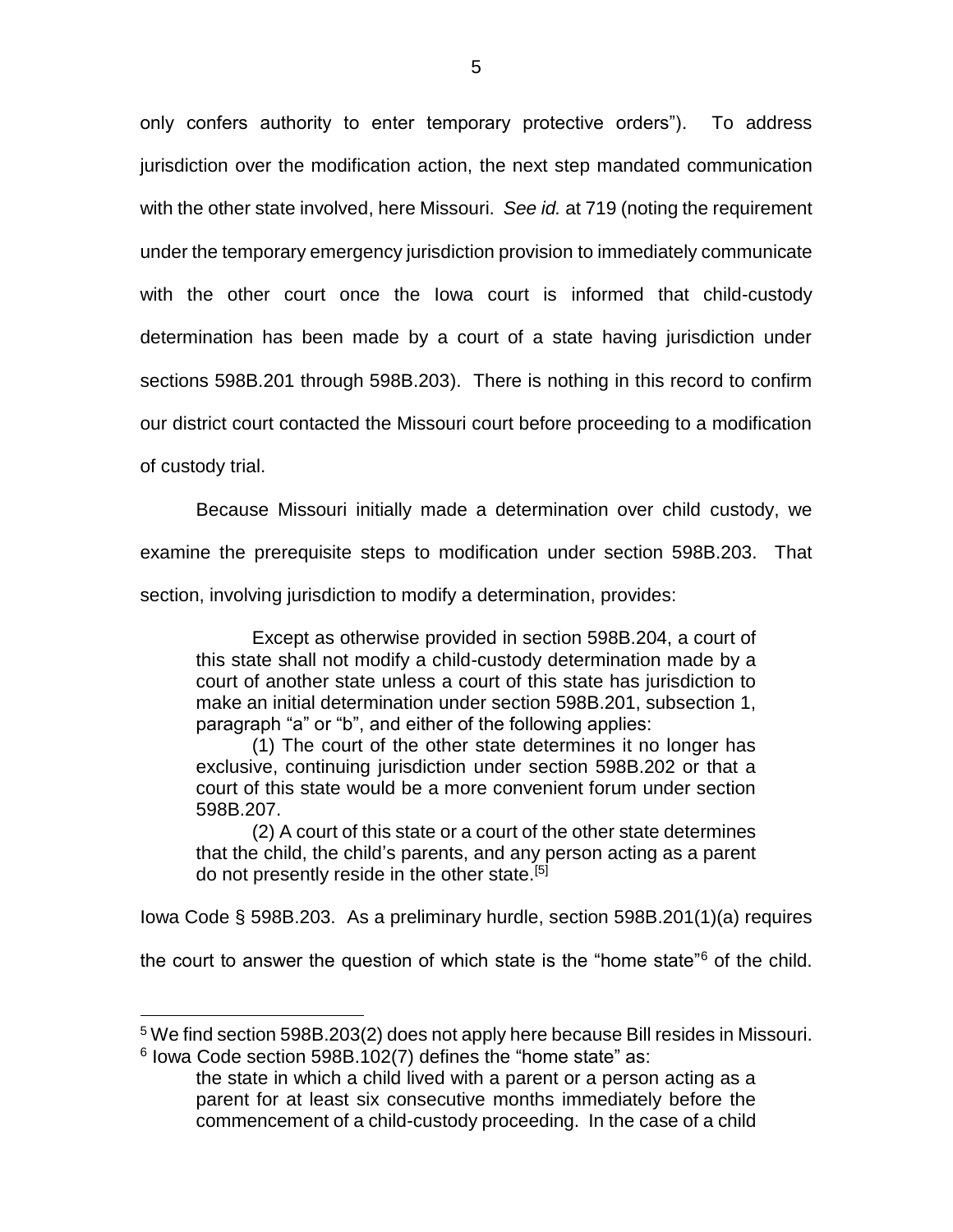only confers authority to enter temporary protective orders"). To address jurisdiction over the modification action, the next step mandated communication with the other state involved, here Missouri. *See id.* at 719 (noting the requirement under the temporary emergency jurisdiction provision to immediately communicate with the other court once the Iowa court is informed that child-custody determination has been made by a court of a state having jurisdiction under sections 598B.201 through 598B.203). There is nothing in this record to confirm our district court contacted the Missouri court before proceeding to a modification of custody trial.

Because Missouri initially made a determination over child custody, we examine the prerequisite steps to modification under section 598B.203. That section, involving jurisdiction to modify a determination, provides:

Except as otherwise provided in section 598B.204, a court of this state shall not modify a child-custody determination made by a court of another state unless a court of this state has jurisdiction to make an initial determination under section 598B.201, subsection 1, paragraph "a" or "b", and either of the following applies:

(1) The court of the other state determines it no longer has exclusive, continuing jurisdiction under section 598B.202 or that a court of this state would be a more convenient forum under section 598B.207.

(2) A court of this state or a court of the other state determines that the child, the child's parents, and any person acting as a parent do not presently reside in the other state.<sup>[5]</sup>

Iowa Code § 598B.203. As a preliminary hurdle, section 598B.201(1)(a) requires

the court to answer the question of which state is the "home state"<sup>6</sup> of the child.

 $\overline{a}$ 

<sup>5</sup> We find section 598B.203(2) does not apply here because Bill resides in Missouri.  $6$  lowa Code section 598B.102(7) defines the "home state" as:

the state in which a child lived with a parent or a person acting as a parent for at least six consecutive months immediately before the commencement of a child-custody proceeding. In the case of a child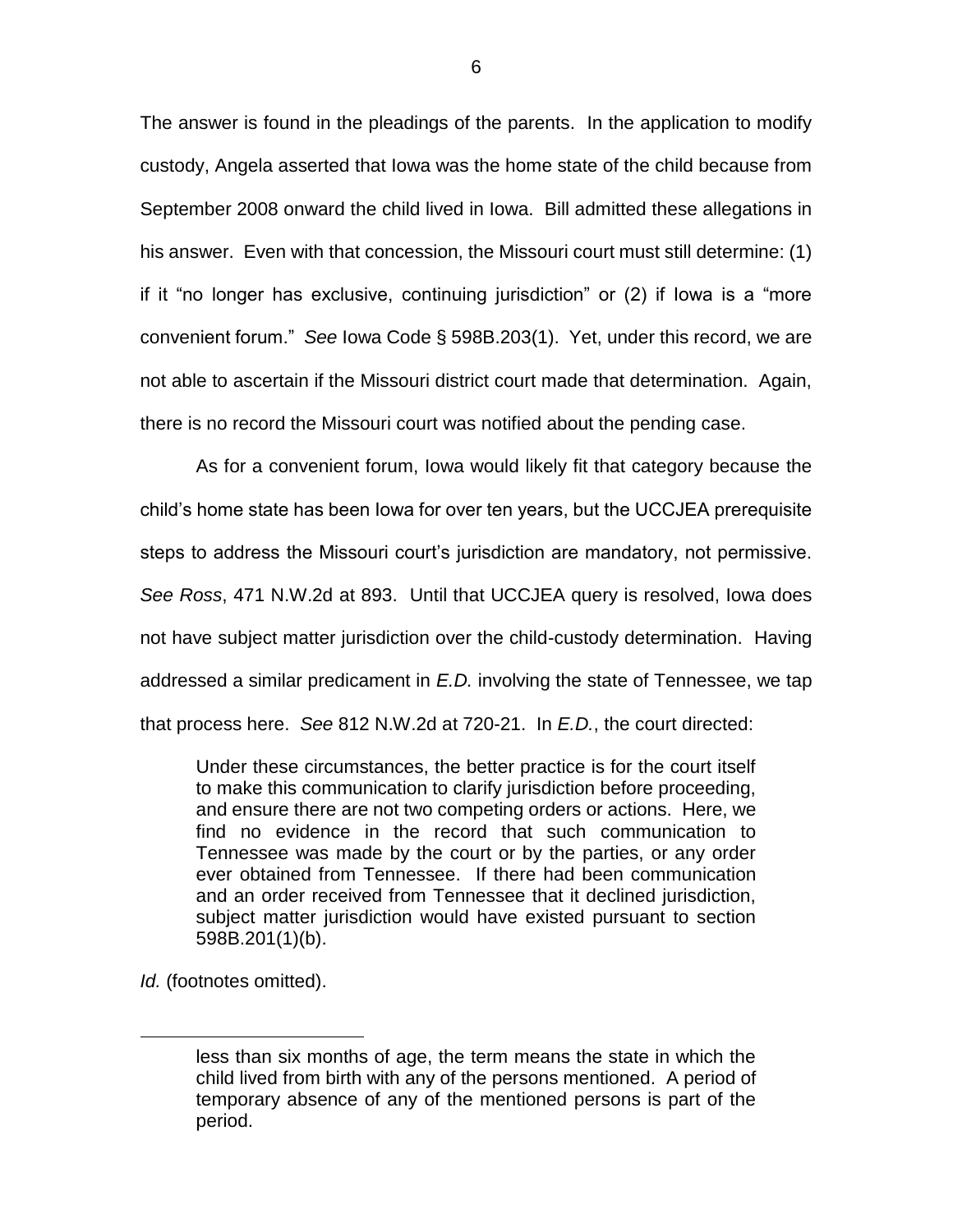The answer is found in the pleadings of the parents. In the application to modify custody, Angela asserted that Iowa was the home state of the child because from September 2008 onward the child lived in Iowa. Bill admitted these allegations in his answer. Even with that concession, the Missouri court must still determine: (1) if it "no longer has exclusive, continuing jurisdiction" or (2) if Iowa is a "more convenient forum." *See* Iowa Code § 598B.203(1). Yet, under this record, we are not able to ascertain if the Missouri district court made that determination. Again, there is no record the Missouri court was notified about the pending case.

As for a convenient forum, Iowa would likely fit that category because the child's home state has been Iowa for over ten years, but the UCCJEA prerequisite steps to address the Missouri court's jurisdiction are mandatory, not permissive. *See Ross*, 471 N.W.2d at 893. Until that UCCJEA query is resolved, Iowa does not have subject matter jurisdiction over the child-custody determination. Having addressed a similar predicament in *E.D.* involving the state of Tennessee, we tap that process here. *See* 812 N.W.2d at 720-21. In *E.D.*, the court directed:

Under these circumstances, the better practice is for the court itself to make this communication to clarify jurisdiction before proceeding, and ensure there are not two competing orders or actions. Here, we find no evidence in the record that such communication to Tennessee was made by the court or by the parties, or any order ever obtained from Tennessee. If there had been communication and an order received from Tennessee that it declined jurisdiction, subject matter jurisdiction would have existed pursuant to section 598B.201(1)(b).

*Id.* (footnotes omitted).

 $\overline{a}$ 

less than six months of age, the term means the state in which the child lived from birth with any of the persons mentioned. A period of temporary absence of any of the mentioned persons is part of the period.